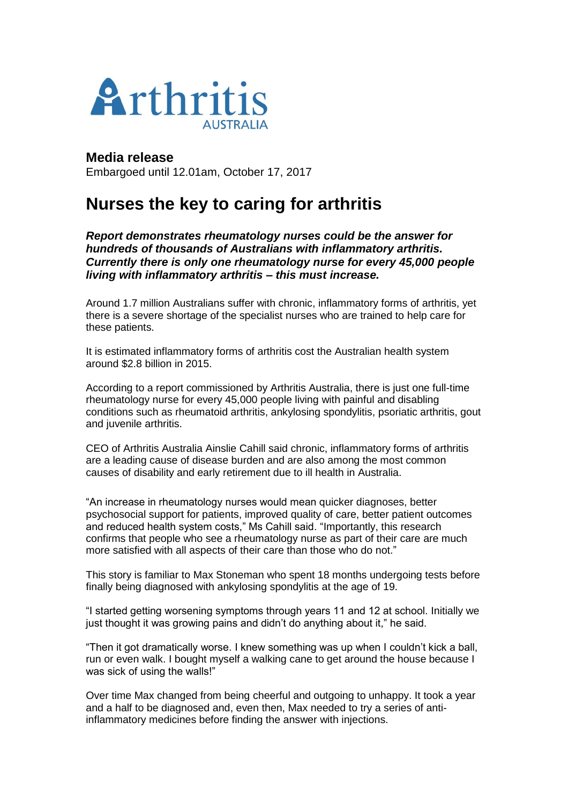

**Media release** Embargoed until 12.01am, October 17, 2017

## **Nurses the key to caring for arthritis**

*Report demonstrates rheumatology nurses could be the answer for hundreds of thousands of Australians with inflammatory arthritis. Currently there is only one rheumatology nurse for every 45,000 people living with inflammatory arthritis – this must increase.*

Around 1.7 million Australians suffer with chronic, inflammatory forms of arthritis, yet there is a severe shortage of the specialist nurses who are trained to help care for these patients.

It is estimated inflammatory forms of arthritis cost the Australian health system around \$2.8 billion in 2015.

According to a report commissioned by Arthritis Australia, there is just one full-time rheumatology nurse for every 45,000 people living with painful and disabling conditions such as rheumatoid arthritis, ankylosing spondylitis, psoriatic arthritis, gout and juvenile arthritis.

CEO of Arthritis Australia Ainslie Cahill said chronic, inflammatory forms of arthritis are a leading cause of disease burden and are also among the most common causes of disability and early retirement due to ill health in Australia.

"An increase in rheumatology nurses would mean quicker diagnoses, better psychosocial support for patients, improved quality of care, better patient outcomes and reduced health system costs," Ms Cahill said. "Importantly, this research confirms that people who see a rheumatology nurse as part of their care are much more satisfied with all aspects of their care than those who do not."

This story is familiar to Max Stoneman who spent 18 months undergoing tests before finally being diagnosed with ankylosing spondylitis at the age of 19.

"I started getting worsening symptoms through years 11 and 12 at school. Initially we just thought it was growing pains and didn't do anything about it," he said.

"Then it got dramatically worse. I knew something was up when I couldn't kick a ball, run or even walk. I bought myself a walking cane to get around the house because I was sick of using the walls!"

Over time Max changed from being cheerful and outgoing to unhappy. It took a year and a half to be diagnosed and, even then, Max needed to try a series of antiinflammatory medicines before finding the answer with injections.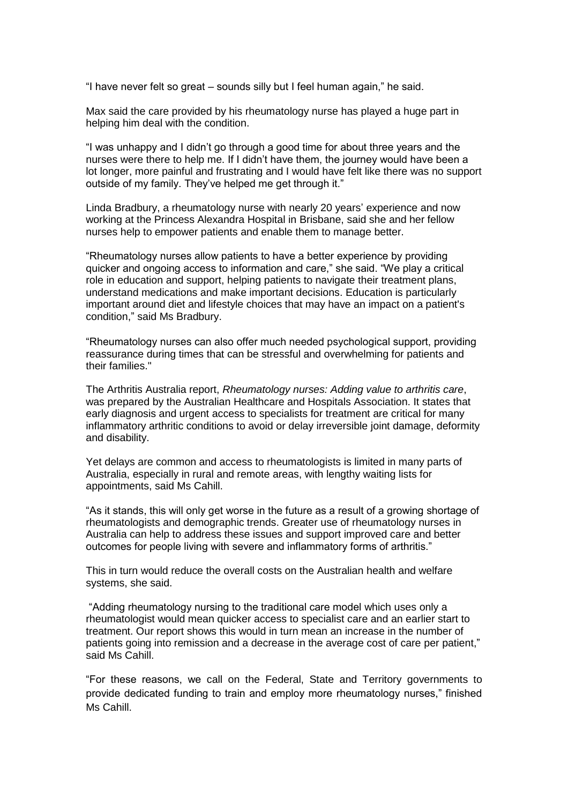"I have never felt so great – sounds silly but I feel human again," he said.

Max said the care provided by his rheumatology nurse has played a huge part in helping him deal with the condition.

"I was unhappy and I didn't go through a good time for about three years and the nurses were there to help me. If I didn't have them, the journey would have been a lot longer, more painful and frustrating and I would have felt like there was no support outside of my family. They've helped me get through it."

Linda Bradbury, a rheumatology nurse with nearly 20 years' experience and now working at the Princess Alexandra Hospital in Brisbane, said she and her fellow nurses help to empower patients and enable them to manage better.

"Rheumatology nurses allow patients to have a better experience by providing quicker and ongoing access to information and care," she said. "We play a critical role in education and support, helping patients to navigate their treatment plans, understand medications and make important decisions. Education is particularly important around diet and lifestyle choices that may have an impact on a patient's condition," said Ms Bradbury.

"Rheumatology nurses can also offer much needed psychological support, providing reassurance during times that can be stressful and overwhelming for patients and their families."

The Arthritis Australia report, *Rheumatology nurses: Adding value to arthritis care*, was prepared by the Australian Healthcare and Hospitals Association. It states that early diagnosis and urgent access to specialists for treatment are critical for many inflammatory arthritic conditions to avoid or delay irreversible joint damage, deformity and disability.

Yet delays are common and access to rheumatologists is limited in many parts of Australia, especially in rural and remote areas, with lengthy waiting lists for appointments, said Ms Cahill.

"As it stands, this will only get worse in the future as a result of a growing shortage of rheumatologists and demographic trends. Greater use of rheumatology nurses in Australia can help to address these issues and support improved care and better outcomes for people living with severe and inflammatory forms of arthritis."

This in turn would reduce the overall costs on the Australian health and welfare systems, she said.

"Adding rheumatology nursing to the traditional care model which uses only a rheumatologist would mean quicker access to specialist care and an earlier start to treatment. Our report shows this would in turn mean an increase in the number of patients going into remission and a decrease in the average cost of care per patient," said Ms Cahill.

"For these reasons, we call on the Federal, State and Territory governments to provide dedicated funding to train and employ more rheumatology nurses," finished Ms Cahill.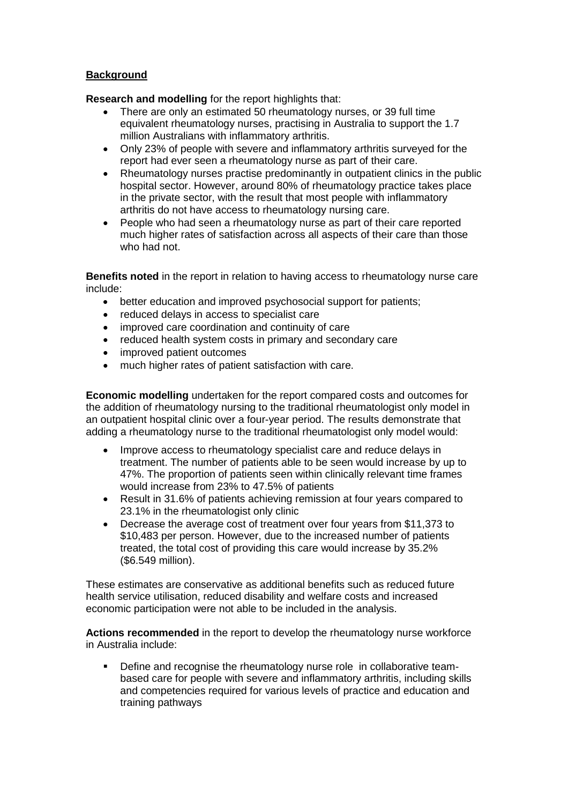## **Background**

**Research and modelling** for the report highlights that:

- There are only an estimated 50 rheumatology nurses, or 39 full time equivalent rheumatology nurses, practising in Australia to support the 1.7 million Australians with inflammatory arthritis.
- Only 23% of people with severe and inflammatory arthritis surveyed for the report had ever seen a rheumatology nurse as part of their care.
- Rheumatology nurses practise predominantly in outpatient clinics in the public hospital sector. However, around 80% of rheumatology practice takes place in the private sector, with the result that most people with inflammatory arthritis do not have access to rheumatology nursing care.
- People who had seen a rheumatology nurse as part of their care reported much higher rates of satisfaction across all aspects of their care than those who had not.

**Benefits noted** in the report in relation to having access to rheumatology nurse care include:

- better education and improved psychosocial support for patients;
- reduced delays in access to specialist care
- improved care coordination and continuity of care
- reduced health system costs in primary and secondary care
- improved patient outcomes
- much higher rates of patient satisfaction with care.

**Economic modelling** undertaken for the report compared costs and outcomes for the addition of rheumatology nursing to the traditional rheumatologist only model in an outpatient hospital clinic over a four-year period. The results demonstrate that adding a rheumatology nurse to the traditional rheumatologist only model would:

- Improve access to rheumatology specialist care and reduce delays in treatment. The number of patients able to be seen would increase by up to 47%. The proportion of patients seen within clinically relevant time frames would increase from 23% to 47.5% of patients
- Result in 31.6% of patients achieving remission at four years compared to 23.1% in the rheumatologist only clinic
- Decrease the average cost of treatment over four years from \$11,373 to \$10,483 per person. However, due to the increased number of patients treated, the total cost of providing this care would increase by 35.2% (\$6.549 million).

These estimates are conservative as additional benefits such as reduced future health service utilisation, reduced disability and welfare costs and increased economic participation were not able to be included in the analysis.

**Actions recommended** in the report to develop the rheumatology nurse workforce in Australia include:

 Define and recognise the rheumatology nurse role in collaborative teambased care for people with severe and inflammatory arthritis, including skills and competencies required for various levels of practice and education and training pathways